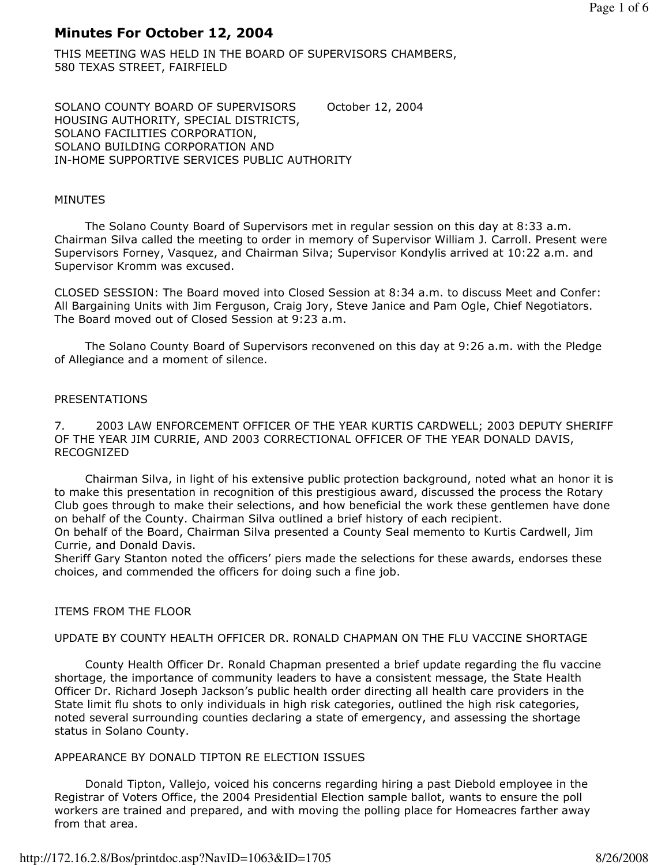# Minutes For October 12, 2004

THIS MEETING WAS HELD IN THE BOARD OF SUPERVISORS CHAMBERS, 580 TEXAS STREET, FAIRFIELD

SOLANO COUNTY BOARD OF SUPERVISORS October 12, 2004 HOUSING AUTHORITY, SPECIAL DISTRICTS, SOLANO FACILITIES CORPORATION, SOLANO BUILDING CORPORATION AND IN-HOME SUPPORTIVE SERVICES PUBLIC AUTHORITY

### MINUTES

 The Solano County Board of Supervisors met in regular session on this day at 8:33 a.m. Chairman Silva called the meeting to order in memory of Supervisor William J. Carroll. Present were Supervisors Forney, Vasquez, and Chairman Silva; Supervisor Kondylis arrived at 10:22 a.m. and Supervisor Kromm was excused.

CLOSED SESSION: The Board moved into Closed Session at 8:34 a.m. to discuss Meet and Confer: All Bargaining Units with Jim Ferguson, Craig Jory, Steve Janice and Pam Ogle, Chief Negotiators. The Board moved out of Closed Session at 9:23 a.m.

 The Solano County Board of Supervisors reconvened on this day at 9:26 a.m. with the Pledge of Allegiance and a moment of silence.

# PRESENTATIONS

7. 2003 LAW ENFORCEMENT OFFICER OF THE YEAR KURTIS CARDWELL; 2003 DEPUTY SHERIFF OF THE YEAR JIM CURRIE, AND 2003 CORRECTIONAL OFFICER OF THE YEAR DONALD DAVIS, RECOGNIZED

 Chairman Silva, in light of his extensive public protection background, noted what an honor it is to make this presentation in recognition of this prestigious award, discussed the process the Rotary Club goes through to make their selections, and how beneficial the work these gentlemen have done on behalf of the County. Chairman Silva outlined a brief history of each recipient. On behalf of the Board, Chairman Silva presented a County Seal memento to Kurtis Cardwell, Jim

Currie, and Donald Davis. Sheriff Gary Stanton noted the officers' piers made the selections for these awards, endorses these choices, and commended the officers for doing such a fine job.

# ITEMS FROM THE FLOOR

# UPDATE BY COUNTY HEALTH OFFICER DR. RONALD CHAPMAN ON THE FLU VACCINE SHORTAGE

 County Health Officer Dr. Ronald Chapman presented a brief update regarding the flu vaccine shortage, the importance of community leaders to have a consistent message, the State Health Officer Dr. Richard Joseph Jackson's public health order directing all health care providers in the State limit flu shots to only individuals in high risk categories, outlined the high risk categories, noted several surrounding counties declaring a state of emergency, and assessing the shortage status in Solano County.

# APPEARANCE BY DONALD TIPTON RE ELECTION ISSUES

 Donald Tipton, Vallejo, voiced his concerns regarding hiring a past Diebold employee in the Registrar of Voters Office, the 2004 Presidential Election sample ballot, wants to ensure the poll workers are trained and prepared, and with moving the polling place for Homeacres farther away from that area.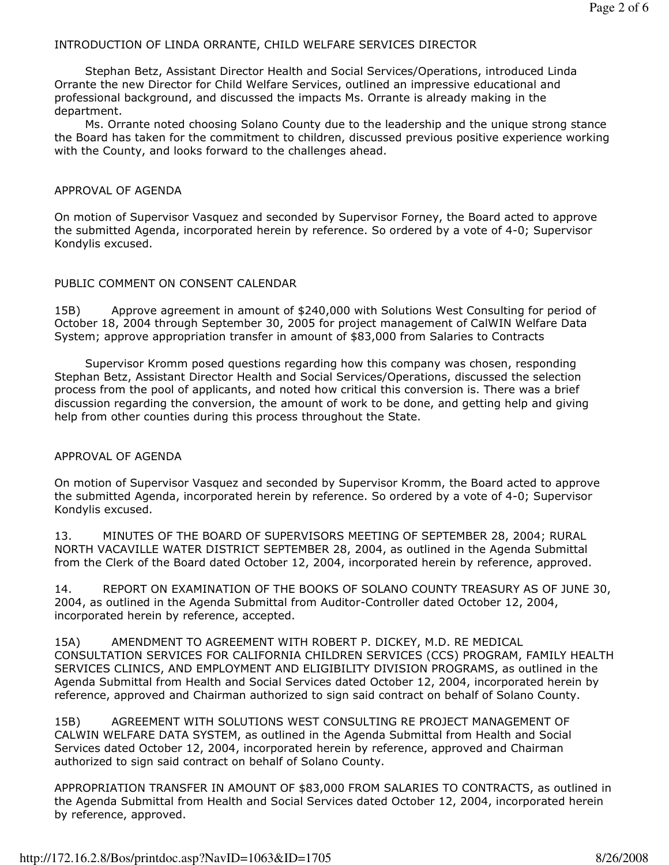### INTRODUCTION OF LINDA ORRANTE, CHILD WELFARE SERVICES DIRECTOR

 Stephan Betz, Assistant Director Health and Social Services/Operations, introduced Linda Orrante the new Director for Child Welfare Services, outlined an impressive educational and professional background, and discussed the impacts Ms. Orrante is already making in the department.

 Ms. Orrante noted choosing Solano County due to the leadership and the unique strong stance the Board has taken for the commitment to children, discussed previous positive experience working with the County, and looks forward to the challenges ahead.

#### APPROVAL OF AGENDA

On motion of Supervisor Vasquez and seconded by Supervisor Forney, the Board acted to approve the submitted Agenda, incorporated herein by reference. So ordered by a vote of 4-0; Supervisor Kondylis excused.

#### PUBLIC COMMENT ON CONSENT CALENDAR

15B) Approve agreement in amount of \$240,000 with Solutions West Consulting for period of October 18, 2004 through September 30, 2005 for project management of CalWIN Welfare Data System; approve appropriation transfer in amount of \$83,000 from Salaries to Contracts

 Supervisor Kromm posed questions regarding how this company was chosen, responding Stephan Betz, Assistant Director Health and Social Services/Operations, discussed the selection process from the pool of applicants, and noted how critical this conversion is. There was a brief discussion regarding the conversion, the amount of work to be done, and getting help and giving help from other counties during this process throughout the State.

#### APPROVAL OF AGENDA

On motion of Supervisor Vasquez and seconded by Supervisor Kromm, the Board acted to approve the submitted Agenda, incorporated herein by reference. So ordered by a vote of 4-0; Supervisor Kondylis excused.

13. MINUTES OF THE BOARD OF SUPERVISORS MEETING OF SEPTEMBER 28, 2004; RURAL NORTH VACAVILLE WATER DISTRICT SEPTEMBER 28, 2004, as outlined in the Agenda Submittal from the Clerk of the Board dated October 12, 2004, incorporated herein by reference, approved.

14. REPORT ON EXAMINATION OF THE BOOKS OF SOLANO COUNTY TREASURY AS OF JUNE 30, 2004, as outlined in the Agenda Submittal from Auditor-Controller dated October 12, 2004, incorporated herein by reference, accepted.

15A) AMENDMENT TO AGREEMENT WITH ROBERT P. DICKEY, M.D. RE MEDICAL CONSULTATION SERVICES FOR CALIFORNIA CHILDREN SERVICES (CCS) PROGRAM, FAMILY HEALTH SERVICES CLINICS, AND EMPLOYMENT AND ELIGIBILITY DIVISION PROGRAMS, as outlined in the Agenda Submittal from Health and Social Services dated October 12, 2004, incorporated herein by reference, approved and Chairman authorized to sign said contract on behalf of Solano County.

15B) AGREEMENT WITH SOLUTIONS WEST CONSULTING RE PROJECT MANAGEMENT OF CALWIN WELFARE DATA SYSTEM, as outlined in the Agenda Submittal from Health and Social Services dated October 12, 2004, incorporated herein by reference, approved and Chairman authorized to sign said contract on behalf of Solano County.

APPROPRIATION TRANSFER IN AMOUNT OF \$83,000 FROM SALARIES TO CONTRACTS, as outlined in the Agenda Submittal from Health and Social Services dated October 12, 2004, incorporated herein by reference, approved.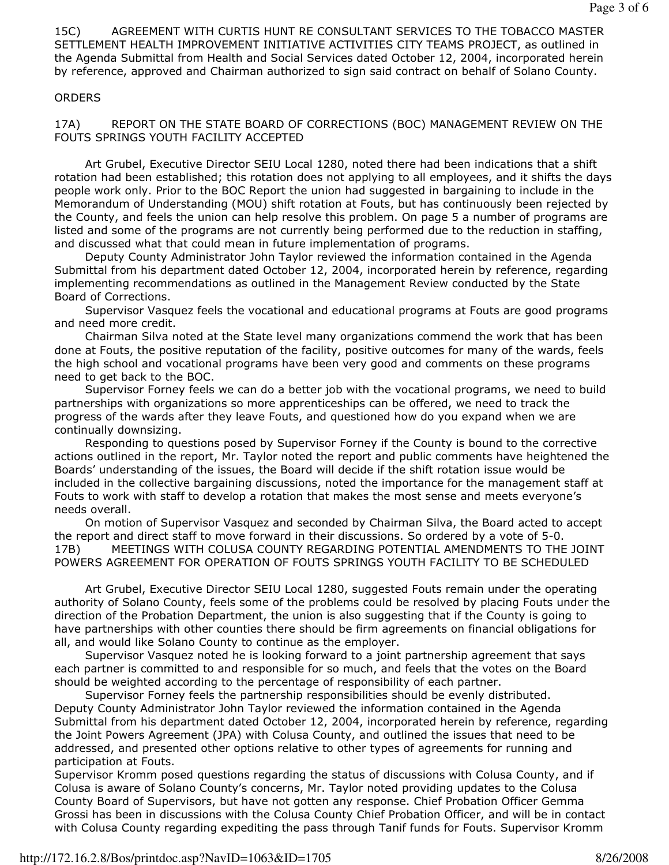15C) AGREEMENT WITH CURTIS HUNT RE CONSULTANT SERVICES TO THE TOBACCO MASTER SETTLEMENT HEALTH IMPROVEMENT INITIATIVE ACTIVITIES CITY TEAMS PROJECT, as outlined in the Agenda Submittal from Health and Social Services dated October 12, 2004, incorporated herein by reference, approved and Chairman authorized to sign said contract on behalf of Solano County.

### **ORDERS**

17A) REPORT ON THE STATE BOARD OF CORRECTIONS (BOC) MANAGEMENT REVIEW ON THE FOUTS SPRINGS YOUTH FACILITY ACCEPTED

 Art Grubel, Executive Director SEIU Local 1280, noted there had been indications that a shift rotation had been established; this rotation does not applying to all employees, and it shifts the days people work only. Prior to the BOC Report the union had suggested in bargaining to include in the Memorandum of Understanding (MOU) shift rotation at Fouts, but has continuously been rejected by the County, and feels the union can help resolve this problem. On page 5 a number of programs are listed and some of the programs are not currently being performed due to the reduction in staffing, and discussed what that could mean in future implementation of programs.

 Deputy County Administrator John Taylor reviewed the information contained in the Agenda Submittal from his department dated October 12, 2004, incorporated herein by reference, regarding implementing recommendations as outlined in the Management Review conducted by the State Board of Corrections.

 Supervisor Vasquez feels the vocational and educational programs at Fouts are good programs and need more credit.

 Chairman Silva noted at the State level many organizations commend the work that has been done at Fouts, the positive reputation of the facility, positive outcomes for many of the wards, feels the high school and vocational programs have been very good and comments on these programs need to get back to the BOC.

 Supervisor Forney feels we can do a better job with the vocational programs, we need to build partnerships with organizations so more apprenticeships can be offered, we need to track the progress of the wards after they leave Fouts, and questioned how do you expand when we are continually downsizing.

 Responding to questions posed by Supervisor Forney if the County is bound to the corrective actions outlined in the report, Mr. Taylor noted the report and public comments have heightened the Boards' understanding of the issues, the Board will decide if the shift rotation issue would be included in the collective bargaining discussions, noted the importance for the management staff at Fouts to work with staff to develop a rotation that makes the most sense and meets everyone's needs overall.

 On motion of Supervisor Vasquez and seconded by Chairman Silva, the Board acted to accept the report and direct staff to move forward in their discussions. So ordered by a vote of 5-0. 17B) MEETINGS WITH COLUSA COUNTY REGARDING POTENTIAL AMENDMENTS TO THE JOINT POWERS AGREEMENT FOR OPERATION OF FOUTS SPRINGS YOUTH FACILITY TO BE SCHEDULED

 Art Grubel, Executive Director SEIU Local 1280, suggested Fouts remain under the operating authority of Solano County, feels some of the problems could be resolved by placing Fouts under the direction of the Probation Department, the union is also suggesting that if the County is going to have partnerships with other counties there should be firm agreements on financial obligations for all, and would like Solano County to continue as the employer.

 Supervisor Vasquez noted he is looking forward to a joint partnership agreement that says each partner is committed to and responsible for so much, and feels that the votes on the Board should be weighted according to the percentage of responsibility of each partner.

 Supervisor Forney feels the partnership responsibilities should be evenly distributed. Deputy County Administrator John Taylor reviewed the information contained in the Agenda Submittal from his department dated October 12, 2004, incorporated herein by reference, regarding the Joint Powers Agreement (JPA) with Colusa County, and outlined the issues that need to be addressed, and presented other options relative to other types of agreements for running and participation at Fouts.

Supervisor Kromm posed questions regarding the status of discussions with Colusa County, and if Colusa is aware of Solano County's concerns, Mr. Taylor noted providing updates to the Colusa County Board of Supervisors, but have not gotten any response. Chief Probation Officer Gemma Grossi has been in discussions with the Colusa County Chief Probation Officer, and will be in contact with Colusa County regarding expediting the pass through Tanif funds for Fouts. Supervisor Kromm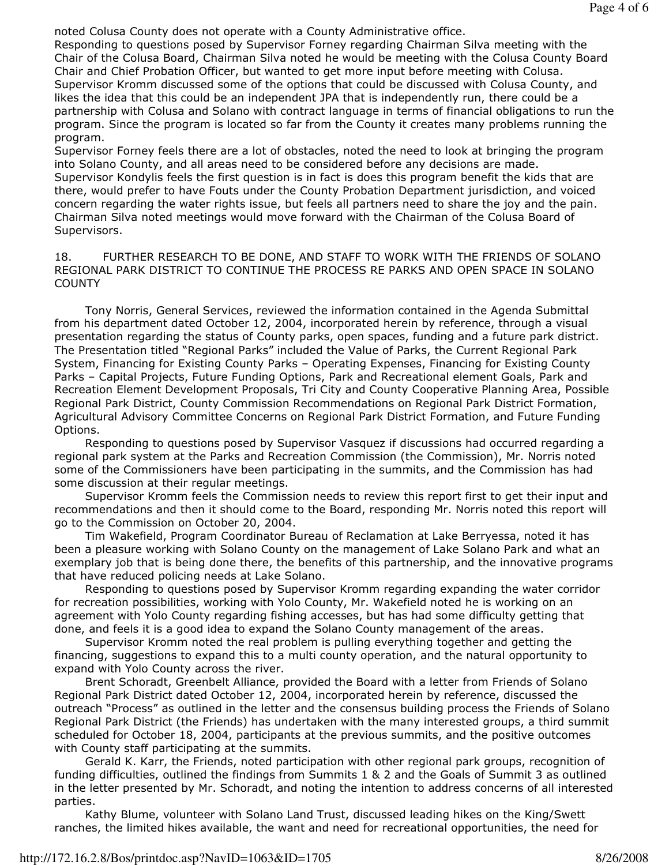noted Colusa County does not operate with a County Administrative office.

Responding to questions posed by Supervisor Forney regarding Chairman Silva meeting with the Chair of the Colusa Board, Chairman Silva noted he would be meeting with the Colusa County Board Chair and Chief Probation Officer, but wanted to get more input before meeting with Colusa. Supervisor Kromm discussed some of the options that could be discussed with Colusa County, and likes the idea that this could be an independent JPA that is independently run, there could be a partnership with Colusa and Solano with contract language in terms of financial obligations to run the program. Since the program is located so far from the County it creates many problems running the program.

Supervisor Forney feels there are a lot of obstacles, noted the need to look at bringing the program into Solano County, and all areas need to be considered before any decisions are made. Supervisor Kondylis feels the first question is in fact is does this program benefit the kids that are there, would prefer to have Fouts under the County Probation Department jurisdiction, and voiced concern regarding the water rights issue, but feels all partners need to share the joy and the pain. Chairman Silva noted meetings would move forward with the Chairman of the Colusa Board of Supervisors.

18. FURTHER RESEARCH TO BE DONE, AND STAFF TO WORK WITH THE FRIENDS OF SOLANO REGIONAL PARK DISTRICT TO CONTINUE THE PROCESS RE PARKS AND OPEN SPACE IN SOLANO **COUNTY** 

 Tony Norris, General Services, reviewed the information contained in the Agenda Submittal from his department dated October 12, 2004, incorporated herein by reference, through a visual presentation regarding the status of County parks, open spaces, funding and a future park district. The Presentation titled "Regional Parks" included the Value of Parks, the Current Regional Park System, Financing for Existing County Parks – Operating Expenses, Financing for Existing County Parks – Capital Projects, Future Funding Options, Park and Recreational element Goals, Park and Recreation Element Development Proposals, Tri City and County Cooperative Planning Area, Possible Regional Park District, County Commission Recommendations on Regional Park District Formation, Agricultural Advisory Committee Concerns on Regional Park District Formation, and Future Funding Options.

 Responding to questions posed by Supervisor Vasquez if discussions had occurred regarding a regional park system at the Parks and Recreation Commission (the Commission), Mr. Norris noted some of the Commissioners have been participating in the summits, and the Commission has had some discussion at their regular meetings.

 Supervisor Kromm feels the Commission needs to review this report first to get their input and recommendations and then it should come to the Board, responding Mr. Norris noted this report will go to the Commission on October 20, 2004.

 Tim Wakefield, Program Coordinator Bureau of Reclamation at Lake Berryessa, noted it has been a pleasure working with Solano County on the management of Lake Solano Park and what an exemplary job that is being done there, the benefits of this partnership, and the innovative programs that have reduced policing needs at Lake Solano.

 Responding to questions posed by Supervisor Kromm regarding expanding the water corridor for recreation possibilities, working with Yolo County, Mr. Wakefield noted he is working on an agreement with Yolo County regarding fishing accesses, but has had some difficulty getting that done, and feels it is a good idea to expand the Solano County management of the areas.

 Supervisor Kromm noted the real problem is pulling everything together and getting the financing, suggestions to expand this to a multi county operation, and the natural opportunity to expand with Yolo County across the river.

 Brent Schoradt, Greenbelt Alliance, provided the Board with a letter from Friends of Solano Regional Park District dated October 12, 2004, incorporated herein by reference, discussed the outreach "Process" as outlined in the letter and the consensus building process the Friends of Solano Regional Park District (the Friends) has undertaken with the many interested groups, a third summit scheduled for October 18, 2004, participants at the previous summits, and the positive outcomes with County staff participating at the summits.

 Gerald K. Karr, the Friends, noted participation with other regional park groups, recognition of funding difficulties, outlined the findings from Summits 1 & 2 and the Goals of Summit 3 as outlined in the letter presented by Mr. Schoradt, and noting the intention to address concerns of all interested parties.

 Kathy Blume, volunteer with Solano Land Trust, discussed leading hikes on the King/Swett ranches, the limited hikes available, the want and need for recreational opportunities, the need for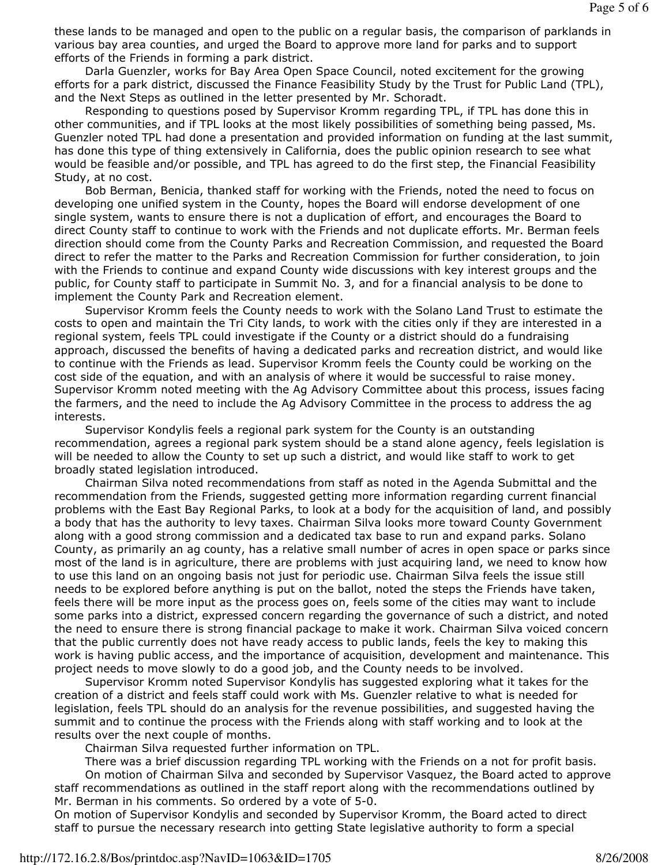these lands to be managed and open to the public on a regular basis, the comparison of parklands in various bay area counties, and urged the Board to approve more land for parks and to support efforts of the Friends in forming a park district.

 Darla Guenzler, works for Bay Area Open Space Council, noted excitement for the growing efforts for a park district, discussed the Finance Feasibility Study by the Trust for Public Land (TPL), and the Next Steps as outlined in the letter presented by Mr. Schoradt.

 Responding to questions posed by Supervisor Kromm regarding TPL, if TPL has done this in other communities, and if TPL looks at the most likely possibilities of something being passed, Ms. Guenzler noted TPL had done a presentation and provided information on funding at the last summit, has done this type of thing extensively in California, does the public opinion research to see what would be feasible and/or possible, and TPL has agreed to do the first step, the Financial Feasibility Study, at no cost.

 Bob Berman, Benicia, thanked staff for working with the Friends, noted the need to focus on developing one unified system in the County, hopes the Board will endorse development of one single system, wants to ensure there is not a duplication of effort, and encourages the Board to direct County staff to continue to work with the Friends and not duplicate efforts. Mr. Berman feels direction should come from the County Parks and Recreation Commission, and requested the Board direct to refer the matter to the Parks and Recreation Commission for further consideration, to join with the Friends to continue and expand County wide discussions with key interest groups and the public, for County staff to participate in Summit No. 3, and for a financial analysis to be done to implement the County Park and Recreation element.

 Supervisor Kromm feels the County needs to work with the Solano Land Trust to estimate the costs to open and maintain the Tri City lands, to work with the cities only if they are interested in a regional system, feels TPL could investigate if the County or a district should do a fundraising approach, discussed the benefits of having a dedicated parks and recreation district, and would like to continue with the Friends as lead. Supervisor Kromm feels the County could be working on the cost side of the equation, and with an analysis of where it would be successful to raise money. Supervisor Kromm noted meeting with the Ag Advisory Committee about this process, issues facing the farmers, and the need to include the Ag Advisory Committee in the process to address the ag interests.

 Supervisor Kondylis feels a regional park system for the County is an outstanding recommendation, agrees a regional park system should be a stand alone agency, feels legislation is will be needed to allow the County to set up such a district, and would like staff to work to get broadly stated legislation introduced.

 Chairman Silva noted recommendations from staff as noted in the Agenda Submittal and the recommendation from the Friends, suggested getting more information regarding current financial problems with the East Bay Regional Parks, to look at a body for the acquisition of land, and possibly a body that has the authority to levy taxes. Chairman Silva looks more toward County Government along with a good strong commission and a dedicated tax base to run and expand parks. Solano County, as primarily an ag county, has a relative small number of acres in open space or parks since most of the land is in agriculture, there are problems with just acquiring land, we need to know how to use this land on an ongoing basis not just for periodic use. Chairman Silva feels the issue still needs to be explored before anything is put on the ballot, noted the steps the Friends have taken, feels there will be more input as the process goes on, feels some of the cities may want to include some parks into a district, expressed concern regarding the governance of such a district, and noted the need to ensure there is strong financial package to make it work. Chairman Silva voiced concern that the public currently does not have ready access to public lands, feels the key to making this work is having public access, and the importance of acquisition, development and maintenance. This project needs to move slowly to do a good job, and the County needs to be involved.

 Supervisor Kromm noted Supervisor Kondylis has suggested exploring what it takes for the creation of a district and feels staff could work with Ms. Guenzler relative to what is needed for legislation, feels TPL should do an analysis for the revenue possibilities, and suggested having the summit and to continue the process with the Friends along with staff working and to look at the results over the next couple of months.

Chairman Silva requested further information on TPL.

 There was a brief discussion regarding TPL working with the Friends on a not for profit basis. On motion of Chairman Silva and seconded by Supervisor Vasquez, the Board acted to approve staff recommendations as outlined in the staff report along with the recommendations outlined by Mr. Berman in his comments. So ordered by a vote of 5-0.

On motion of Supervisor Kondylis and seconded by Supervisor Kromm, the Board acted to direct staff to pursue the necessary research into getting State legislative authority to form a special